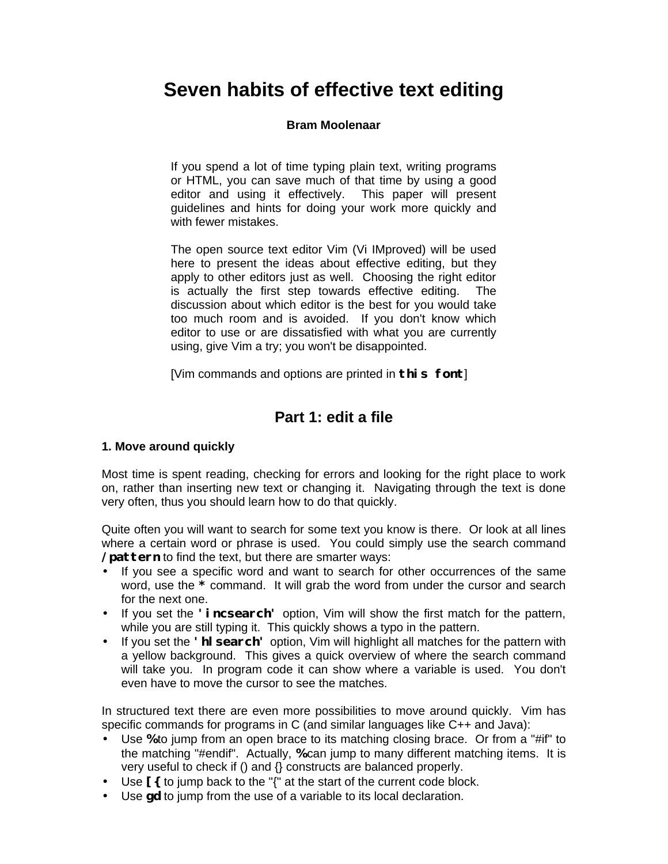# **Seven habits of effective text editing**

### **Bram Moolenaar**

If you spend a lot of time typing plain text, writing programs or HTML, you can save much of that time by using a good editor and using it effectively. This paper will present guidelines and hints for doing your work more quickly and with fewer mistakes.

The open source text editor Vim (Vi IMproved) will be used here to present the ideas about effective editing, but they apply to other editors just as well. Choosing the right editor is actually the first step towards effective editing. The discussion about which editor is the best for you would take too much room and is avoided. If you don't know which editor to use or are dissatisfied with what you are currently using, give Vim a try; you won't be disappointed.

[Vim commands and options are printed in **this font**]

# **Part 1: edit a file**

#### **1. Move around quickly**

Most time is spent reading, checking for errors and looking for the right place to work on, rather than inserting new text or changing it. Navigating through the text is done very often, thus you should learn how to do that quickly.

Quite often you will want to search for some text you know is there. Or look at all lines where a certain word or phrase is used. You could simply use the search command **/pattern** to find the text, but there are smarter ways:

- If you see a specific word and want to search for other occurrences of the same word, use the **\*** command. It will grab the word from under the cursor and search for the next one.
- If you set the **'incsearch'** option, Vim will show the first match for the pattern, while you are still typing it. This quickly shows a typo in the pattern.
- If you set the **'hlsearch'** option, Vim will highlight all matches for the pattern with a yellow background. This gives a quick overview of where the search command will take you. In program code it can show where a variable is used. You don't even have to move the cursor to see the matches.

In structured text there are even more possibilities to move around quickly. Vim has specific commands for programs in C (and similar languages like C++ and Java):

- Use **%** to jump from an open brace to its matching closing brace. Or from a "#if" to the matching "#endif". Actually, **%** can jump to many different matching items. It is very useful to check if () and {} constructs are balanced properly.
- Use **[{** to jump back to the "{" at the start of the current code block.
- Use **gd** to jump from the use of a variable to its local declaration.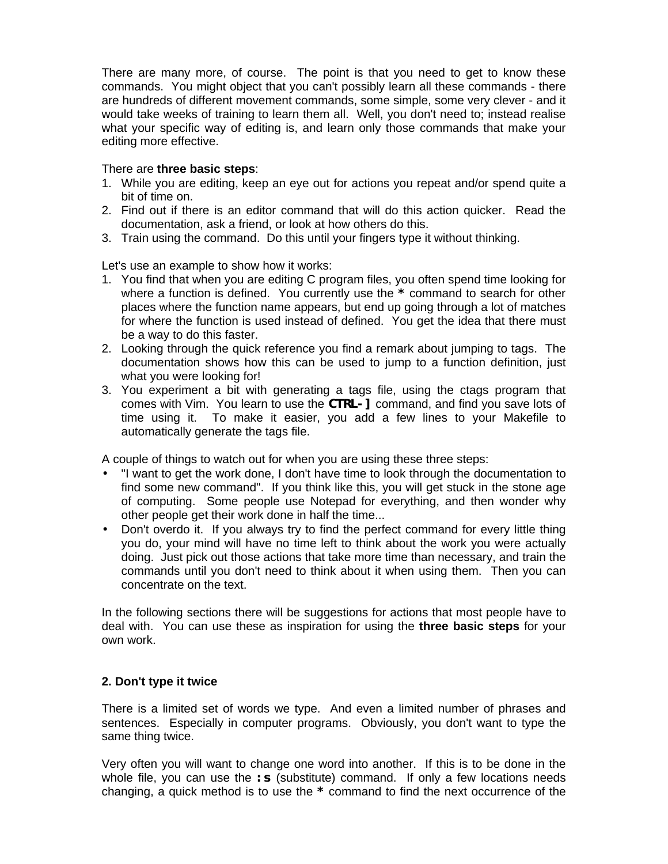There are many more, of course. The point is that you need to get to know these commands. You might object that you can't possibly learn all these commands - there are hundreds of different movement commands, some simple, some very clever - and it would take weeks of training to learn them all. Well, you don't need to; instead realise what your specific way of editing is, and learn only those commands that make your editing more effective.

#### There are **three basic steps**:

- 1. While you are editing, keep an eye out for actions you repeat and/or spend quite a bit of time on.
- 2. Find out if there is an editor command that will do this action quicker. Read the documentation, ask a friend, or look at how others do this.
- 3. Train using the command. Do this until your fingers type it without thinking.

Let's use an example to show how it works:

- 1. You find that when you are editing C program files, you often spend time looking for where a function is defined. You currently use the **\*** command to search for other places where the function name appears, but end up going through a lot of matches for where the function is used instead of defined. You get the idea that there must be a way to do this faster.
- 2. Looking through the quick reference you find a remark about jumping to tags. The documentation shows how this can be used to jump to a function definition, just what you were looking for!
- 3. You experiment a bit with generating a tags file, using the ctags program that comes with Vim. You learn to use the **CTRL-]** command, and find you save lots of time using it. To make it easier, you add a few lines to your Makefile to automatically generate the tags file.

A couple of things to watch out for when you are using these three steps:

- "I want to get the work done, I don't have time to look through the documentation to find some new command". If you think like this, you will get stuck in the stone age of computing. Some people use Notepad for everything, and then wonder why other people get their work done in half the time...
- Don't overdo it. If you always try to find the perfect command for every little thing you do, your mind will have no time left to think about the work you were actually doing. Just pick out those actions that take more time than necessary, and train the commands until you don't need to think about it when using them. Then you can concentrate on the text.

In the following sections there will be suggestions for actions that most people have to deal with. You can use these as inspiration for using the **three basic steps** for your own work.

#### **2. Don't type it twice**

There is a limited set of words we type. And even a limited number of phrases and sentences. Especially in computer programs. Obviously, you don't want to type the same thing twice.

Very often you will want to change one word into another. If this is to be done in the whole file, you can use the **: s** (substitute) command. If only a few locations needs changing, a quick method is to use the **\*** command to find the next occurrence of the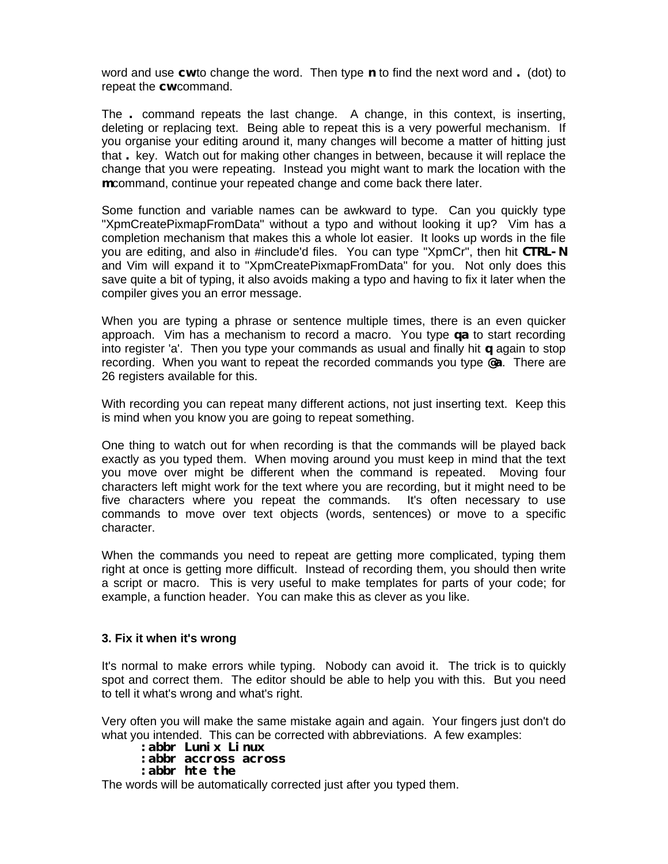word and use **cw** to change the word. Then type **n** to find the next word and **.** (dot) to repeat the **cw** command.

The **.** command repeats the last change. A change, in this context, is inserting, deleting or replacing text. Being able to repeat this is a very powerful mechanism. If you organise your editing around it, many changes will become a matter of hitting just that **.** key. Watch out for making other changes in between, because it will replace the change that you were repeating. Instead you might want to mark the location with the **m** command, continue your repeated change and come back there later.

Some function and variable names can be awkward to type. Can you quickly type "XpmCreatePixmapFromData" without a typo and without looking it up? Vim has a completion mechanism that makes this a whole lot easier. It looks up words in the file you are editing, and also in #include'd files. You can type "XpmCr", then hit **CTRL-N** and Vim will expand it to "XpmCreatePixmapFromData" for you. Not only does this save quite a bit of typing, it also avoids making a typo and having to fix it later when the compiler gives you an error message.

When you are typing a phrase or sentence multiple times, there is an even quicker approach. Vim has a mechanism to record a macro. You type **qa** to start recording into register 'a'. Then you type your commands as usual and finally hit **q** again to stop recording. When you want to repeat the recorded commands you type **@a**. There are 26 registers available for this.

With recording you can repeat many different actions, not just inserting text. Keep this is mind when you know you are going to repeat something.

One thing to watch out for when recording is that the commands will be played back exactly as you typed them. When moving around you must keep in mind that the text you move over might be different when the command is repeated. Moving four characters left might work for the text where you are recording, but it might need to be five characters where you repeat the commands. It's often necessary to use commands to move over text objects (words, sentences) or move to a specific character.

When the commands you need to repeat are getting more complicated, typing them right at once is getting more difficult. Instead of recording them, you should then write a script or macro. This is very useful to make templates for parts of your code; for example, a function header. You can make this as clever as you like.

#### **3. Fix it when it's wrong**

It's normal to make errors while typing. Nobody can avoid it. The trick is to quickly spot and correct them. The editor should be able to help you with this. But you need to tell it what's wrong and what's right.

Very often you will make the same mistake again and again. Your fingers just don't do what you intended. This can be corrected with abbreviations. A few examples:

#### **:abbr Lunix Linux**

#### **:abbr accross across**

**:abbr hte the**

The words will be automatically corrected just after you typed them.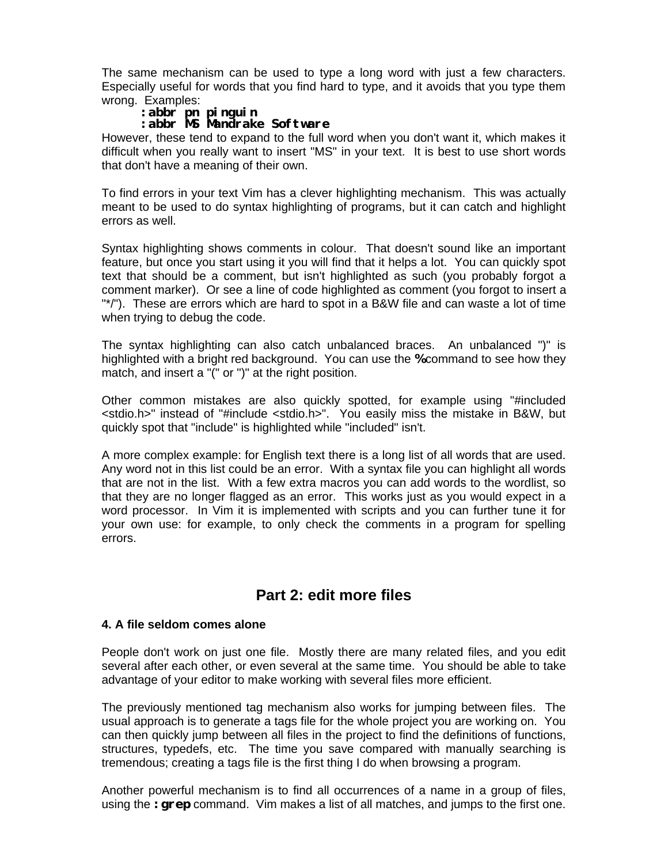The same mechanism can be used to type a long word with just a few characters. Especially useful for words that you find hard to type, and it avoids that you type them wrong. Examples:

## **:abbr pn pinguin**

### **:abbr MS Mandrake Software**

However, these tend to expand to the full word when you don't want it, which makes it difficult when you really want to insert "MS" in your text. It is best to use short words that don't have a meaning of their own.

To find errors in your text Vim has a clever highlighting mechanism. This was actually meant to be used to do syntax highlighting of programs, but it can catch and highlight errors as well.

Syntax highlighting shows comments in colour. That doesn't sound like an important feature, but once you start using it you will find that it helps a lot. You can quickly spot text that should be a comment, but isn't highlighted as such (you probably forgot a comment marker). Or see a line of code highlighted as comment (you forgot to insert a "\*/"). These are errors which are hard to spot in a B&W file and can waste a lot of time when trying to debug the code.

The syntax highlighting can also catch unbalanced braces. An unbalanced ")" is highlighted with a bright red background. You can use the **%** command to see how they match, and insert a "(" or ")" at the right position.

Other common mistakes are also quickly spotted, for example using "#included <stdio.h>" instead of "#include <stdio.h>". You easily miss the mistake in B&W, but quickly spot that "include" is highlighted while "included" isn't.

A more complex example: for English text there is a long list of all words that are used. Any word not in this list could be an error. With a syntax file you can highlight all words that are not in the list. With a few extra macros you can add words to the wordlist, so that they are no longer flagged as an error. This works just as you would expect in a word processor. In Vim it is implemented with scripts and you can further tune it for your own use: for example, to only check the comments in a program for spelling errors.

# **Part 2: edit more files**

#### **4. A file seldom comes alone**

People don't work on just one file. Mostly there are many related files, and you edit several after each other, or even several at the same time. You should be able to take advantage of your editor to make working with several files more efficient.

The previously mentioned tag mechanism also works for jumping between files. The usual approach is to generate a tags file for the whole project you are working on. You can then quickly jump between all files in the project to find the definitions of functions, structures, typedefs, etc. The time you save compared with manually searching is tremendous; creating a tags file is the first thing I do when browsing a program.

Another powerful mechanism is to find all occurrences of a name in a group of files, using the **:grep** command. Vim makes a list of all matches, and jumps to the first one.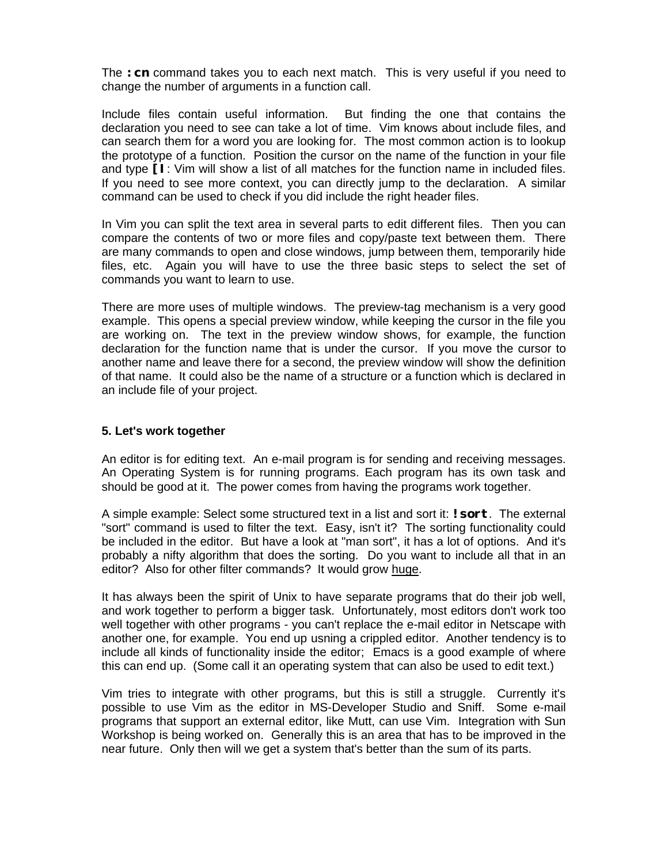The **:cn** command takes you to each next match. This is very useful if you need to change the number of arguments in a function call.

Include files contain useful information. But finding the one that contains the declaration you need to see can take a lot of time. Vim knows about include files, and can search them for a word you are looking for. The most common action is to lookup the prototype of a function. Position the cursor on the name of the function in your file and type **[I**: Vim will show a list of all matches for the function name in included files. If you need to see more context, you can directly jump to the declaration. A similar command can be used to check if you did include the right header files.

In Vim you can split the text area in several parts to edit different files. Then you can compare the contents of two or more files and copy/paste text between them. There are many commands to open and close windows, jump between them, temporarily hide files, etc. Again you will have to use the three basic steps to select the set of commands you want to learn to use.

There are more uses of multiple windows. The preview-tag mechanism is a very good example. This opens a special preview window, while keeping the cursor in the file you are working on. The text in the preview window shows, for example, the function declaration for the function name that is under the cursor. If you move the cursor to another name and leave there for a second, the preview window will show the definition of that name. It could also be the name of a structure or a function which is declared in an include file of your project.

#### **5. Let's work together**

An editor is for editing text. An e-mail program is for sending and receiving messages. An Operating System is for running programs. Each program has its own task and should be good at it. The power comes from having the programs work together.

A simple example: Select some structured text in a list and sort it: **!sort**. The external "sort" command is used to filter the text. Easy, isn't it? The sorting functionality could be included in the editor. But have a look at "man sort", it has a lot of options. And it's probably a nifty algorithm that does the sorting. Do you want to include all that in an editor? Also for other filter commands? It would grow huge.

It has always been the spirit of Unix to have separate programs that do their job well, and work together to perform a bigger task. Unfortunately, most editors don't work too well together with other programs - you can't replace the e-mail editor in Netscape with another one, for example. You end up usning a crippled editor. Another tendency is to include all kinds of functionality inside the editor; Emacs is a good example of where this can end up. (Some call it an operating system that can also be used to edit text.)

Vim tries to integrate with other programs, but this is still a struggle. Currently it's possible to use Vim as the editor in MS-Developer Studio and Sniff. Some e-mail programs that support an external editor, like Mutt, can use Vim. Integration with Sun Workshop is being worked on. Generally this is an area that has to be improved in the near future. Only then will we get a system that's better than the sum of its parts.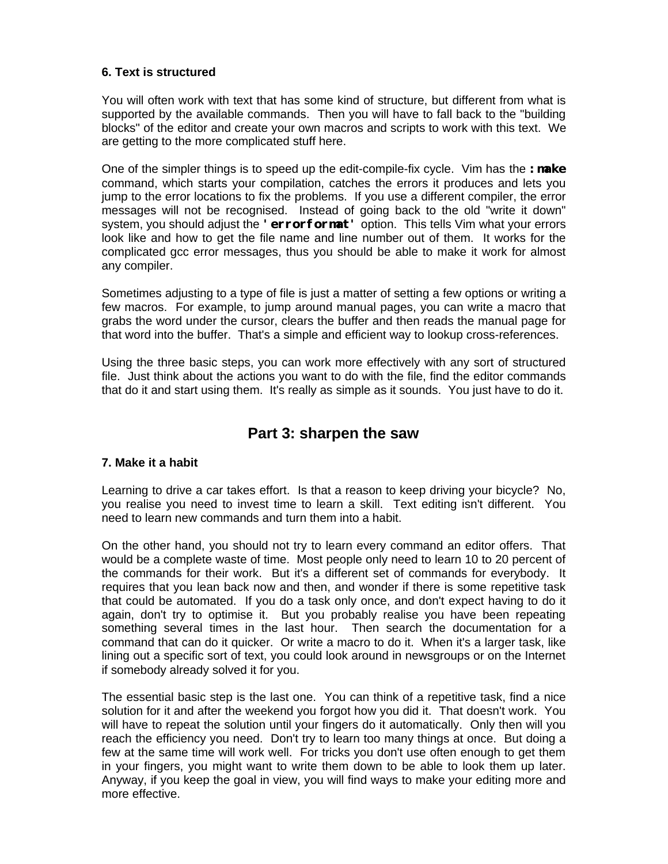### **6. Text is structured**

You will often work with text that has some kind of structure, but different from what is supported by the available commands. Then you will have to fall back to the "building blocks" of the editor and create your own macros and scripts to work with this text. We are getting to the more complicated stuff here.

One of the simpler things is to speed up the edit-compile-fix cycle. Vim has the **:make** command, which starts your compilation, catches the errors it produces and lets you jump to the error locations to fix the problems. If you use a different compiler, the error messages will not be recognised. Instead of going back to the old "write it down" system, you should adjust the **'errorformat'** option. This tells Vim what your errors look like and how to get the file name and line number out of them. It works for the complicated gcc error messages, thus you should be able to make it work for almost any compiler.

Sometimes adjusting to a type of file is just a matter of setting a few options or writing a few macros. For example, to jump around manual pages, you can write a macro that grabs the word under the cursor, clears the buffer and then reads the manual page for that word into the buffer. That's a simple and efficient way to lookup cross-references.

Using the three basic steps, you can work more effectively with any sort of structured file. Just think about the actions you want to do with the file, find the editor commands that do it and start using them. It's really as simple as it sounds. You just have to do it.

# **Part 3: sharpen the saw**

### **7. Make it a habit**

Learning to drive a car takes effort. Is that a reason to keep driving your bicycle? No, you realise you need to invest time to learn a skill. Text editing isn't different. You need to learn new commands and turn them into a habit.

On the other hand, you should not try to learn every command an editor offers. That would be a complete waste of time. Most people only need to learn 10 to 20 percent of the commands for their work. But it's a different set of commands for everybody. It requires that you lean back now and then, and wonder if there is some repetitive task that could be automated. If you do a task only once, and don't expect having to do it again, don't try to optimise it. But you probably realise you have been repeating something several times in the last hour. Then search the documentation for a command that can do it quicker. Or write a macro to do it. When it's a larger task, like lining out a specific sort of text, you could look around in newsgroups or on the Internet if somebody already solved it for you.

The essential basic step is the last one. You can think of a repetitive task, find a nice solution for it and after the weekend you forgot how you did it. That doesn't work. You will have to repeat the solution until your fingers do it automatically. Only then will you reach the efficiency you need. Don't try to learn too many things at once. But doing a few at the same time will work well. For tricks you don't use often enough to get them in your fingers, you might want to write them down to be able to look them up later. Anyway, if you keep the goal in view, you will find ways to make your editing more and more effective.